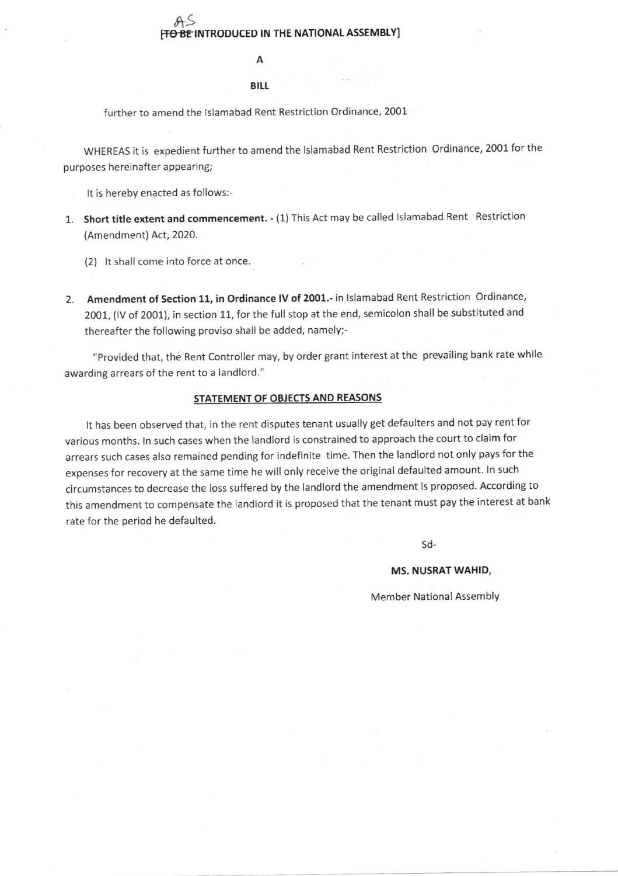# $A<sub>9</sub>$ [<del>TO BE</del> INTRODUCED IN THE NATIONAL ASSEMBLY]

#### BILL

further to amend the Islamabad Rent Restriction Ordinance, 2001

WHEREAS it is expedient further to amend the Islamabad Rent Restriction Ordinance, 2001 for the purposes hereinafter appearing;

It is hereby enacted as follows:-

- 1. Short title extent and commencement. (1) This Act may be called lslamabad Rent Restriction (Amendment) Act, 2020.
	- (2) lt shall come into force at once.
- 2. Amendment of Section 11, in Ordinance IV of 2001.- in Islamabad Rent Restriction Ordinance, 2001, (lv of 2001), in section 11, for the full stop at the end, semicolon shall be substituted and thereafter the following proviso shall be added, namely;-

"provided that, the Rent Controller may, by order grant interest at the prevailing bank rate while awarding arrears of the rent to a landlord."

## STATEMENT OF OBJECTS AND REASONS

It has been observed that, in the rent disputes tenant usually get defaulters and not pay rent for various months. ln such cases when the landlord is constrained to approach the court to claim for arrears such cases also remained pending for indefinite time. Then the landlord not only pays for the expenses for recovery at the same time he will only receive the original defaulted amount. In such circumstances to decrease the loss suffered by the landlord the amendment is proposed. According to this amendment to compensate the landlord it is proposed that the tenant must pay the interest at bank rate for the period he defaulted.

sd-

### MS. NUSRAT WAHID,

Member National Assembly